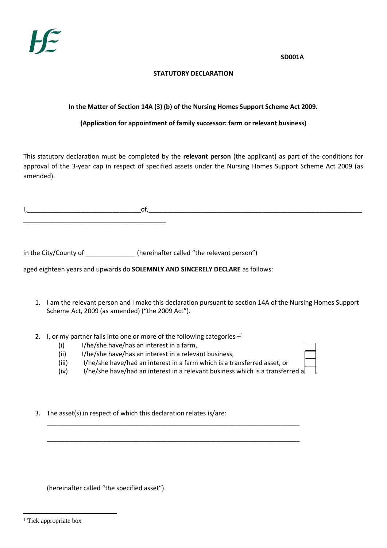**SD001A**

## **STATUTORY DECLARATION**

## **In the Matter of Section 14A (3) (b) of the Nursing Homes Support Scheme Act 2009.**

## **(Application for appointment of family successor: farm or relevant business)**

This statutory declaration must be completed by the **relevant person** (the applicant) as part of the conditions for approval of the 3-year cap in respect of specified assets under the Nursing Homes Support Scheme Act 2009 (as amended).

I,\_\_\_\_\_\_\_\_\_\_\_\_\_\_\_\_\_\_\_\_\_\_\_\_\_\_\_\_\_\_\_\_of,\_\_\_\_\_\_\_\_\_\_\_\_\_\_\_\_\_\_\_\_\_\_\_\_\_\_\_\_\_\_\_\_\_\_\_\_\_\_\_\_\_\_\_\_\_\_\_\_\_\_\_\_\_\_\_\_\_\_\_\_

in the City/County of \_\_\_\_\_\_\_\_\_\_\_\_\_\_\_\_(hereinafter called "the relevant person")

\_\_\_\_\_\_\_\_\_\_\_\_\_\_\_\_\_\_\_\_\_\_\_\_\_\_\_\_\_\_\_\_\_\_\_\_\_\_\_\_

aged eighteen years and upwards do **SOLEMNLY AND SINCERELY DECLARE** as follows:

- 1. I am the relevant person and I make this declaration pursuant to section 14A of the Nursing Homes Support Scheme Act, 2009 (as amended) ("the 2009 Act").
- 2. I, or my partner falls into one or more of the following categories  $-1$ 
	- (i) I/he/she have/has an interest in a farm,
	- (ii) I/he/she have/has an interest in a relevant business,
	- (iii) I/he/she have/had an interest in a farm which is a transferred asset, or

\_\_\_\_\_\_\_\_\_\_\_\_\_\_\_\_\_\_\_\_\_\_\_\_\_\_\_\_\_\_\_\_\_\_\_\_\_\_\_\_\_\_\_\_\_\_\_\_\_\_\_\_\_\_\_\_\_\_\_\_\_\_\_\_\_\_\_\_\_\_\_

\_\_\_\_\_\_\_\_\_\_\_\_\_\_\_\_\_\_\_\_\_\_\_\_\_\_\_\_\_\_\_\_\_\_\_\_\_\_\_\_\_\_\_\_\_\_\_\_\_\_\_\_\_\_\_\_\_\_\_\_\_\_\_\_\_\_\_\_\_\_\_

- (iv) I/he/she have/had an interest in a relevant business which is a transferred a
- 3. The asset(s) in respect of which this declaration relates is/are:

(hereinafter called "the specified asset").

-

<sup>&</sup>lt;sup>1</sup> Tick appropriate box